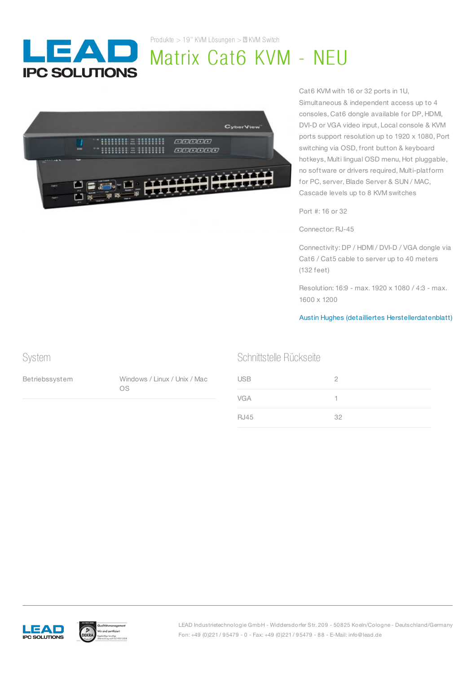

Produkte  $> 19$ " KVM Lösungen  $> \mathbb{Z}$  KVM Switch

# Matrix Cat6 KVM - NEU



Cat6 KVM with 16 or 32 ports in 1U, Simultaneous & independent access up to 4 consoles, Cat6 dongle available for DP, HDMI, DVI-D or VGA video input, Local console & KVM ports support resolution up to 1920 x 1080, Port switching via OSD, front button & keyboard hotkeys, Multi lingual OSD menu, Hot pluggable, no software or drivers required, Multi-platform for PC, server, Blade Server & SUN / MAC, Cascade levels up to 8 KVM switches

Port #: 16 or 32

Connector: RJ-45

Connectivity: DP / HDMI / DVI-D / VGA dongle via Cat6 / Cat5 cable to server up to 40 meters (132 feet)

Resolution: 16:9 - max. 1920 x 1080 / 4:3 - max. 1600 x 1200

#### Austin Hughes (detailliertes [Herstellerdatenblatt\)](https://www.austin-hughes.com/support/productsheet/cyberview/ps-cv-mukvm.pdf)

## System

Betriebssystem Windows / Linux / Unix / Mac OS

#### Schnittstelle Rückseite

| <b>USB</b>  | 2  |
|-------------|----|
| <b>VGA</b>  |    |
| <b>RJ45</b> | 32 |





LEAD Industrietechnologie GmbH - Widdersdorfer Str. 209 - 50825 Koeln/Cologne - Deutschland/Germany Fon: +49 (0)221 / 95479 - 0 - Fax: +49 (0)221 / 95479 - 88 - E-Mail: info@lead.de